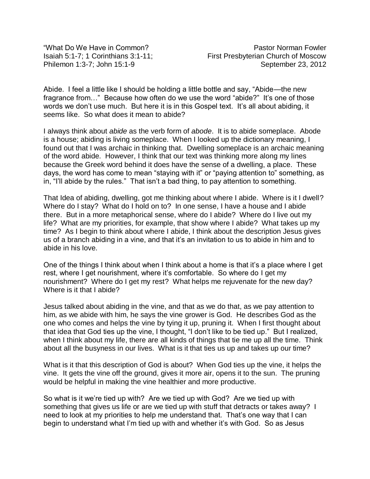Abide. I feel a little like I should be holding a little bottle and say, "Abide—the new fragrance from…" Because how often do we use the word "abide?" It's one of those words we don't use much. But here it is in this Gospel text. It's all about abiding, it seems like. So what does it mean to abide?

I always think about *abide* as the verb form of *abode*. It is to abide someplace. Abode is a house; abiding is living someplace. When I looked up the dictionary meaning, I found out that I was archaic in thinking that. Dwelling someplace is an archaic meaning of the word abide. However, I think that our text was thinking more along my lines because the Greek word behind it does have the sense of a dwelling, a place. These days, the word has come to mean "staying with it" or "paying attention to" something, as in, "I'll abide by the rules." That isn't a bad thing, to pay attention to something.

That Idea of abiding, dwelling, got me thinking about where I abide. Where is it I dwell? Where do I stay? What do I hold on to? In one sense, I have a house and I abide there. But in a more metaphorical sense, where do I abide? Where do I live out my life? What are my priorities, for example, that show where I abide? What takes up my time? As I begin to think about where I abide, I think about the description Jesus gives us of a branch abiding in a vine, and that it's an invitation to us to abide in him and to abide in his love.

One of the things I think about when I think about a home is that it's a place where I get rest, where I get nourishment, where it's comfortable. So where do I get my nourishment? Where do I get my rest? What helps me rejuvenate for the new day? Where is it that I abide?

Jesus talked about abiding in the vine, and that as we do that, as we pay attention to him, as we abide with him, he says the vine grower is God. He describes God as the one who comes and helps the vine by tying it up, pruning it. When I first thought about that idea that God ties up the vine, I thought, "I don't like to be tied up." But I realized, when I think about my life, there are all kinds of things that tie me up all the time. Think about all the busyness in our lives. What is it that ties us up and takes up our time?

What is it that this description of God is about? When God ties up the vine, it helps the vine. It gets the vine off the ground, gives it more air, opens it to the sun. The pruning would be helpful in making the vine healthier and more productive.

So what is it we're tied up with? Are we tied up with God? Are we tied up with something that gives us life or are we tied up with stuff that detracts or takes away? I need to look at my priorities to help me understand that. That's one way that I can begin to understand what I'm tied up with and whether it's with God. So as Jesus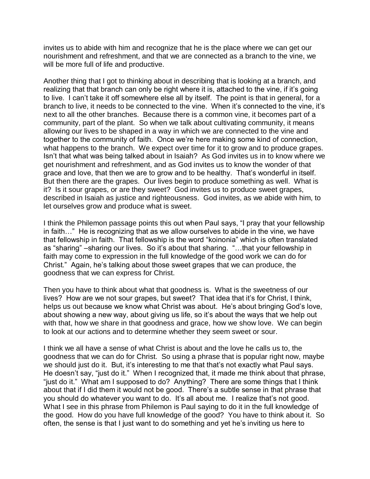invites us to abide with him and recognize that he is the place where we can get our nourishment and refreshment, and that we are connected as a branch to the vine, we will be more full of life and productive.

Another thing that I got to thinking about in describing that is looking at a branch, and realizing that that branch can only be right where it is, attached to the vine, if it's going to live. I can't take it off somewhere else all by itself. The point is that in general, for a branch to live, it needs to be connected to the vine. When it's connected to the vine, it's next to all the other branches. Because there is a common vine, it becomes part of a community, part of the plant. So when we talk about cultivating community, it means allowing our lives to be shaped in a way in which we are connected to the vine and together to the community of faith. Once we're here making some kind of connection, what happens to the branch. We expect over time for it to grow and to produce grapes. Isn't that what was being talked about in Isaiah? As God invites us in to know where we get nourishment and refreshment, and as God invites us to know the wonder of that grace and love, that then we are to grow and to be healthy. That's wonderful in itself. But then there are the grapes. Our lives begin to produce something as well. What is it? Is it sour grapes, or are they sweet? God invites us to produce sweet grapes, described in Isaiah as justice and righteousness. God invites, as we abide with him, to let ourselves grow and produce what is sweet.

I think the Philemon passage points this out when Paul says, "I pray that your fellowship in faith…" He is recognizing that as we allow ourselves to abide in the vine, we have that fellowship in faith. That fellowship is the word "koinonia" which is often translated as "sharing" –sharing our lives. So it's about that sharing. "…that your fellowship in faith may come to expression in the full knowledge of the good work we can do for Christ." Again, he's talking about those sweet grapes that we can produce, the goodness that we can express for Christ.

Then you have to think about what that goodness is. What is the sweetness of our lives? How are we not sour grapes, but sweet? That idea that it's for Christ, I think, helps us out because we know what Christ was about. He's about bringing God's love, about showing a new way, about giving us life, so it's about the ways that we help out with that, how we share in that goodness and grace, how we show love. We can begin to look at our actions and to determine whether they seem sweet or sour.

I think we all have a sense of what Christ is about and the love he calls us to, the goodness that we can do for Christ. So using a phrase that is popular right now, maybe we should just do it. But, it's interesting to me that that's not exactly what Paul says. He doesn't say, "just do it." When I recognized that, it made me think about that phrase, "just do it." What am I supposed to do? Anything? There are some things that I think about that if I did them it would not be good. There's a subtle sense in that phrase that you should do whatever you want to do. It's all about me. I realize that's not good. What I see in this phrase from Philemon is Paul saying to do it in the full knowledge of the good. How do you have full knowledge of the good? You have to think about it. So often, the sense is that I just want to do something and yet he's inviting us here to